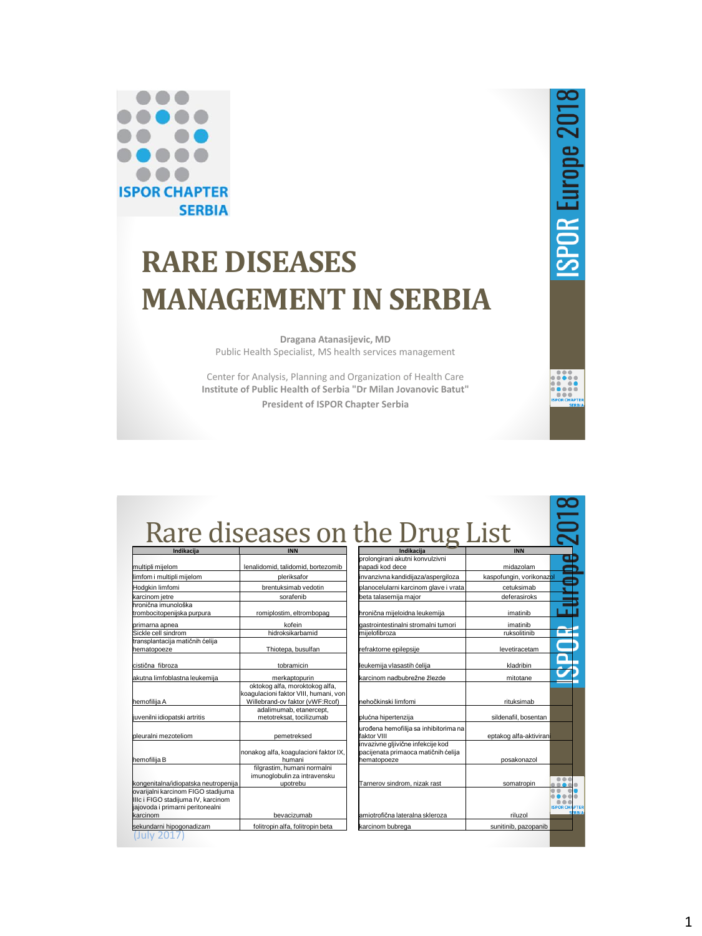

# **RARE DISEASES MANAGEMENT IN SERBIA**

**Dragana Atanasijevic, MD** Public Health Specialist, MS health services management

Center for Analysis, Planning and Organization of Health Care **Institute of Public Health of Serbia "Dr Milan Jovanovic Batut" President of ISPOR Chapter Serbia**

## Rare diseases on the Drug List

| multipli mijelom                     | lenalidomid, talidomid, bortezomib              |
|--------------------------------------|-------------------------------------------------|
| limfom i multipli mijelom            | pleriksafor                                     |
| Hodgkin limfomi                      | brentuksimab vedotin                            |
| karcinom jetre                       | sorafenib                                       |
| hronična imunološka                  |                                                 |
| trombocitopenijska purpura           | romiplostim, eltrombopag                        |
| primarna apnea                       | kofein                                          |
| Sickle cell sindrom                  | hidroksikarbamid                                |
| transplantacija matičnih ćelija      |                                                 |
| hematopoeze                          | Thiotepa, busulfan                              |
|                                      |                                                 |
| cistična fibroza                     | tobramicin                                      |
| akutna limfoblastna leukemija        | merkaptopurin                                   |
|                                      | oktokog alfa, moroktokog alfa,                  |
|                                      | koagulacioni faktor VIII, humani, von           |
| hemofilija A                         | Willebrand-ov faktor (vWF:Rcof)                 |
|                                      | adalimumab, etanercept,                         |
| juvenilni idiopatski artritis        | metotreksat, tocilizumab                        |
|                                      |                                                 |
| bleuralni mezoteliom                 | pemetreksed                                     |
|                                      |                                                 |
| hemofilija B                         | nonakog alfa, koagulacioni faktor IX,<br>humani |
|                                      | filgrastim, humani normalni                     |
|                                      | imunoglobulin za intravensku                    |
| kongenitalna/idiopatska neutropenija | upotrebu                                        |
| ovarijalni karcinom FIGO stadijuma   |                                                 |
| IIIc i FIGO stadijuma IV, karcinom   |                                                 |
| jajovoda i primarni peritonealni     |                                                 |
| karcinom                             | bevacizumab                                     |
| sekundarni hipogonadizam             | folitropin alfa, folitropin beta                |
| <b>TIV</b>                           |                                                 |
|                                      |                                                 |

| Indikacija                                                                              | <b>INN</b>               |                                       |
|-----------------------------------------------------------------------------------------|--------------------------|---------------------------------------|
| prolongirani akutni konvulzivni<br>napadi kod dece                                      | midazolam                |                                       |
| invanzivna kandidijaza/aspergiloza                                                      | kaspofungin, vorikonazol |                                       |
| planocelularni karcinom glave i vrata                                                   | cetuksimab               |                                       |
| beta talasemija major                                                                   | deferasiroks             |                                       |
| hronična mijeloidna leukemija                                                           | imatinib                 |                                       |
| gastrointestinalni stromalni tumori                                                     | imatinib                 |                                       |
| mijelofibroza                                                                           | ruksolitinib             |                                       |
| refraktorne epilepsije                                                                  | levetiracetam            |                                       |
| leukemija vlasastih ćelija                                                              | kladribin                |                                       |
| karcinom nadbubrežne žlezde                                                             | mitotane                 |                                       |
| <b>nehočkinski limfomi</b>                                                              | rituksimab               |                                       |
| plućna hipertenzija                                                                     | sildenafil, bosentan     |                                       |
| urođena hemofilija sa inhibitorima na<br>faktor VIII                                    | eptakog alfa-aktiviran   |                                       |
| invazivne gljivične infekcije kod<br>pacijenata primaoca matičnih ćelija<br>hematopoeze | posakonazol              |                                       |
| Tarnerov sindrom, nizak rast                                                            | somatropin               |                                       |
| lamiotrofična lateralna skleroza                                                        | riluzol                  | PTE<br><b>ISPOR CHA</b><br><b>RBI</b> |
| karcinom bubrega                                                                        | sunitinib, pazopanib     |                                       |

**ISPOR Europe 2018** 

 $\overline{5}$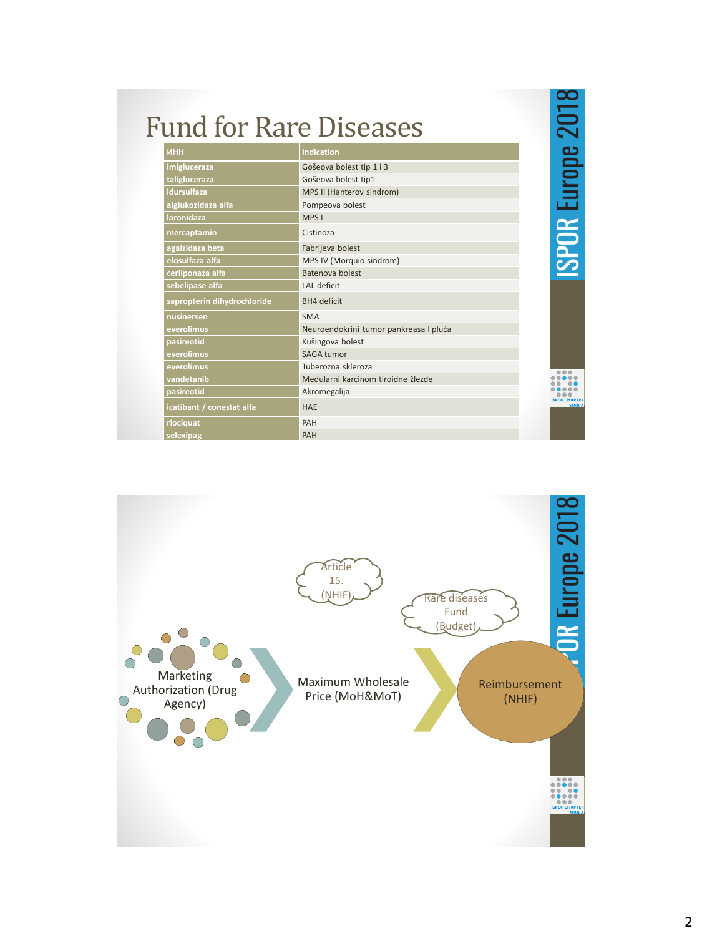| <b>Fund for Rare Diseases</b> |                                        | SPOR Europe 2018 |
|-------------------------------|----------------------------------------|------------------|
| ИНН                           | <b>Indication</b>                      |                  |
| imigluceraza                  | Gošeova bolest tip 1 i 3               |                  |
| taligluceraza                 | Gošeova bolest tip1                    |                  |
| idursulfaza                   | MPS II (Hanterov sindrom)              |                  |
| alglukozidaza alfa            | Pompeova bolest                        |                  |
| <b>laronidaza</b>             | MPS I                                  |                  |
| mercaptamin                   | Cistinoza                              |                  |
| agalzidaza beta               | Fabrijeva bolest                       |                  |
| elosulfaza alfa               | MPS IV (Morquio sindrom)               |                  |
| cerliponaza alfa              | Batenova holest                        |                  |
| sebelipase alfa               | LAL deficit                            |                  |
| sapropterin dihydrochloride   | <b>BH4</b> deficit                     |                  |
| nusinersen                    | <b>SMA</b>                             |                  |
| everolimus                    | Neuroendokrini tumor pankreasa I pluća |                  |
| pasireotid                    | Kušingova bolest                       |                  |
| everolimus                    | SAGA tumor                             |                  |
| everolimus                    | Tuberozna skleroza                     |                  |
| vandetanib                    | Medularni karcinom tiroidne žlezde     |                  |
| pasireotid                    | Akromegalija                           |                  |
| icatibant / conestat alfa     | <b>HAE</b>                             | <b>SERBIA</b>    |
| riociquat                     | PAH                                    |                  |
| selexipag                     | PAH                                    |                  |

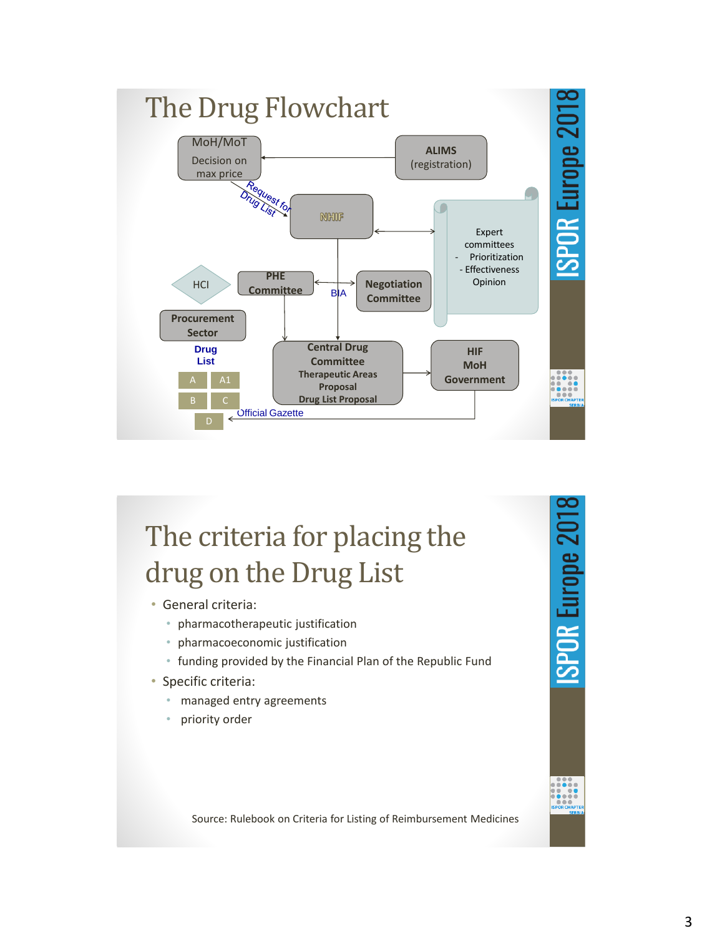

## The criteria for placing the drug on the Drug List

- General criteria:
	- pharmacotherapeutic justification
	- pharmacoeconomic justification
	- funding provided by the Financial Plan of the Republic Fund
- Specific criteria:
	- managed entry agreements
	- priority order



Source: Rulebook on Criteria for Listing of Reimbursement Medicines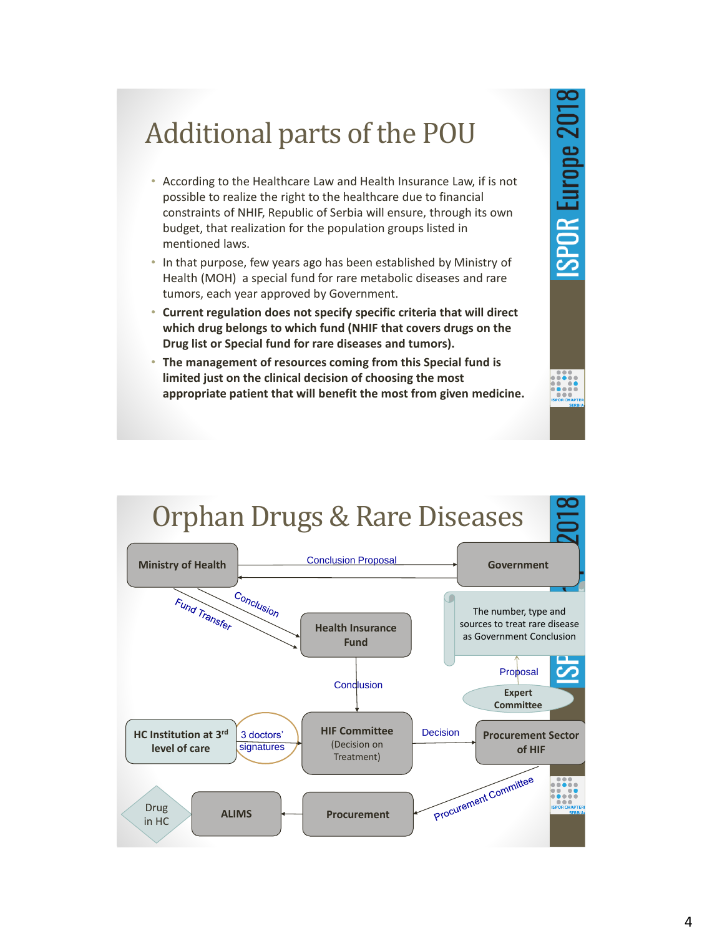## Additional parts of the POU

- According to the Healthcare Law and Health Insurance Law, if is not possible to realize the right to the healthcare due to financial constraints of NHIF, Republic of Serbia will ensure, through its own budget, that realization for the population groups listed in mentioned laws.
- In that purpose, few years ago has been established by Ministry of Health (MOH) a special fund for rare metabolic diseases and rare tumors, each year approved by Government.
- **Current regulation does not specify specific criteria that will direct which drug belongs to which fund (NHIF that covers drugs on the Drug list or Special fund for rare diseases and tumors).**
- **The management of resources coming from this Special fund is limited just on the clinical decision of choosing the most appropriate patient that will benefit the most from given medicine.**

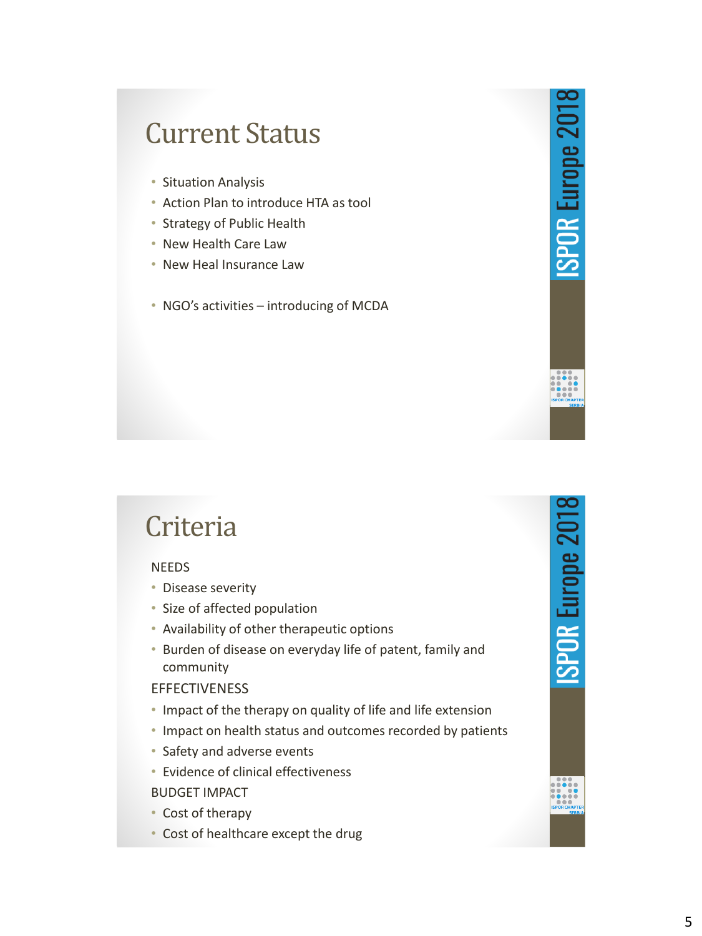### Current Status

- Situation Analysis
- Action Plan to introduce HTA as tool
- Strategy of Public Health
- New Health Care Law
- New Heal Insurance Law
- NGO's activities introducing of MCDA

### Criteria

#### NEEDS

- Disease severity
- Size of affected population
- Availability of other therapeutic options
- Burden of disease on everyday life of patent, family and community

#### **EFFECTIVENESS**

- Impact of the therapy on quality of life and life extension
- Impact on health status and outcomes recorded by patients
- Safety and adverse events
- Evidence of clinical effectiveness BUDGET IMPACT
- Cost of therapy
- Cost of healthcare except the drug

**ISPOR Europe 2018** 

**ISPOR Europe 2018**